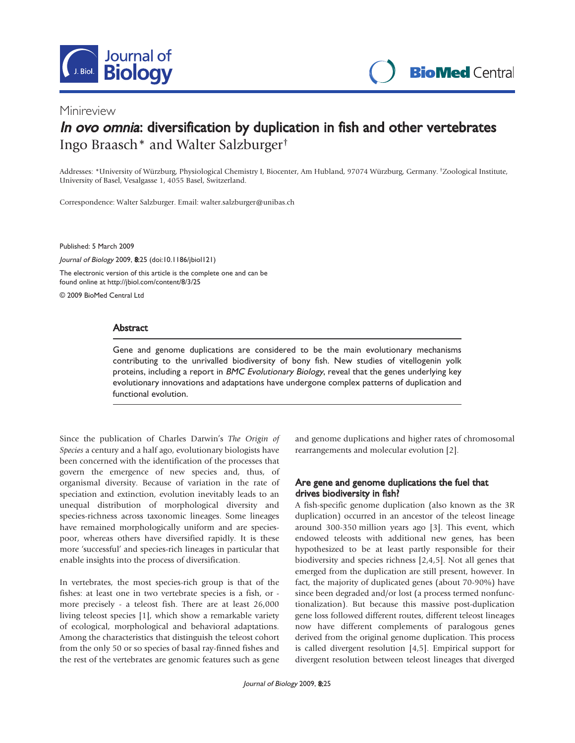

## Minireview

# In ovo omnia: diversification by duplication in fish and other vertebrates Ingo Braasch\* and Walter Salzburger†

Addresses: \*University of Würzburg, Physiological Chemistry I, Biocenter, Am Hubland, 97074 Würzburg, Germany. †Zoological Institute, University of Basel, Vesalgasse 1, 4055 Basel, Switzerland.

Correspondence: Walter Salzburger. Email: walter.salzburger@unibas.ch

Published: 5 March 2009

Journal of Biology 2009, 8:25 (doi:10.1186/jbiol121) The electronic version of this article is the complete one and can be found online at http://jbiol.com/content/8/3/25

© 2009 BioMed Central Ltd

## **Abstract**

Gene and genome duplications are considered to be the main evolutionary mechanisms contributing to the unrivalled biodiversity of bony fish. New studies of vitellogenin yolk proteins, including a report in BMC Evolutionary Biology, reveal that the genes underlying key evolutionary innovations and adaptations have undergone complex patterns of duplication and functional evolution.

Since the publication of Charles Darwin's The Origin of Species a century and a half ago, evolutionary biologists have been concerned with the identification of the processes that govern the emergence of new species and, thus, of organismal diversity. Because of variation in the rate of speciation and extinction, evolution inevitably leads to an unequal distribution of morphological diversity and species-richness across taxonomic lineages. Some lineages have remained morphologically uniform and are speciespoor, whereas others have diversified rapidly. It is these more 'successful' and species-rich lineages in particular that enable insights into the process of diversification.

In vertebrates, the most species-rich group is that of the fishes: at least one in two vertebrate species is a fish, or more precisely - a teleost fish. There are at least 26,000 living teleost species [1], which show a remarkable variety of ecological, morphological and behavioral adaptations. Among the characteristics that distinguish the teleost cohort from the only 50 or so species of basal ray-finned fishes and the rest of the vertebrates are genomic features such as gene and genome duplications and higher rates of chromosomal rearrangements and molecular evolution [2].

## Are gene and genome duplications the fuel that drives biodiversity in fish?

A fish-specific genome duplication (also known as the 3R duplication) occurred in an ancestor of the teleost lineage around 300-350 million years ago [3]. This event, which endowed teleosts with additional new genes, has been hypothesized to be at least partly responsible for their biodiversity and species richness [2,4,5]. Not all genes that emerged from the duplication are still present, however. In fact, the majority of duplicated genes (about 70-90%) have since been degraded and/or lost (a process termed nonfunctionalization). But because this massive post-duplication gene loss followed different routes, different teleost lineages now have different complements of paralogous genes derived from the original genome duplication. This process is called divergent resolution [4,5]. Empirical support for divergent resolution between teleost lineages that diverged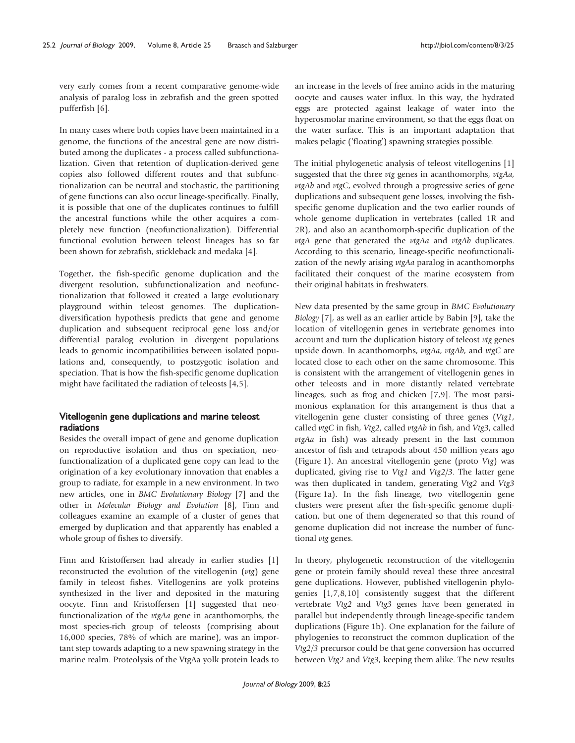very early comes from a recent comparative genome-wide analysis of paralog loss in zebrafish and the green spotted pufferfish [6].

In many cases where both copies have been maintained in a genome, the functions of the ancestral gene are now distributed among the duplicates - a process called subfunctionalization. Given that retention of duplication-derived gene copies also followed different routes and that subfunctionalization can be neutral and stochastic, the partitioning of gene functions can also occur lineage-specifically. Finally, it is possible that one of the duplicates continues to fulfill the ancestral functions while the other acquires a completely new function (neofunctionalization). Differential functional evolution between teleost lineages has so far been shown for zebrafish, stickleback and medaka [4].

Together, the fish-specific genome duplication and the divergent resolution, subfunctionalization and neofunctionalization that followed it created a large evolutionary playground within teleost genomes. The duplicationdiversification hypothesis predicts that gene and genome duplication and subsequent reciprocal gene loss and/or differential paralog evolution in divergent populations leads to genomic incompatibilities between isolated populations and, consequently, to postzygotic isolation and speciation. That is how the fish-specific genome duplication might have facilitated the radiation of teleosts [4,5].

## Vitellogenin gene duplications and marine teleost radiations

Besides the overall impact of gene and genome duplication on reproductive isolation and thus on speciation, neofunctionalization of a duplicated gene copy can lead to the origination of a key evolutionary innovation that enables a group to radiate, for example in a new environment. In two new articles, one in BMC Evolutionary Biology [7] and the other in Molecular Biology and Evolution [8], Finn and colleagues examine an example of a cluster of genes that emerged by duplication and that apparently has enabled a whole group of fishes to diversify.

Finn and Kristoffersen had already in earlier studies [1] reconstructed the evolution of the vitellogenin (vtg) gene family in teleost fishes. Vitellogenins are yolk proteins synthesized in the liver and deposited in the maturing oocyte. Finn and Kristoffersen [1] suggested that neofunctionalization of the vtgAa gene in acanthomorphs, the most species-rich group of teleosts (comprising about 16,000 species, 78% of which are marine), was an important step towards adapting to a new spawning strategy in the marine realm. Proteolysis of the VtgAa yolk protein leads to

an increase in the levels of free amino acids in the maturing oocyte and causes water influx. In this way, the hydrated eggs are protected against leakage of water into the hyperosmolar marine environment, so that the eggs float on the water surface. This is an important adaptation that makes pelagic ('floating') spawning strategies possible.

The initial phylogenetic analysis of teleost vitellogenins [1] suggested that the three vtg genes in acanthomorphs, vtgAa, vtgAb and vtgC, evolved through a progressive series of gene duplications and subsequent gene losses, involving the fishspecific genome duplication and the two earlier rounds of whole genome duplication in vertebrates (called 1R and 2R), and also an acanthomorph-specific duplication of the vtgA gene that generated the vtgAa and vtgAb duplicates. According to this scenario, lineage-specific neofunctionalization of the newly arising vtgAa paralog in acanthomorphs facilitated their conquest of the marine ecosystem from their original habitats in freshwaters.

New data presented by the same group in BMC Evolutionary Biology [7], as well as an earlier article by Babin [9], take the location of vitellogenin genes in vertebrate genomes into account and turn the duplication history of teleost vtg genes upside down. In acanthomorphs, vtgAa, vtgAb, and vtgC are located close to each other on the same chromosome. This is consistent with the arrangement of vitellogenin genes in other teleosts and in more distantly related vertebrate lineages, such as frog and chicken [7,9]. The most parsimonious explanation for this arrangement is thus that a vitellogenin gene cluster consisting of three genes (Vtg1, called vtgC in fish, Vtg2, called vtgAb in fish, and Vtg3, called vtgAa in fish) was already present in the last common ancestor of fish and tetrapods about 450 million years ago (Figure 1). An ancestral vitellogenin gene (proto Vtg) was duplicated, giving rise to Vtg1 and Vtg2/3. The latter gene was then duplicated in tandem, generating Vtg2 and Vtg3 (Figure 1a). In the fish lineage, two vitellogenin gene clusters were present after the fish-specific genome duplication, but one of them degenerated so that this round of genome duplication did not increase the number of functional vtg genes.

In theory, phylogenetic reconstruction of the vitellogenin gene or protein family should reveal these three ancestral gene duplications. However, published vitellogenin phylogenies [1,7,8,10] consistently suggest that the different vertebrate Vtg2 and Vtg3 genes have been generated in parallel but independently through lineage-specific tandem duplications (Figure 1b). One explanation for the failure of phylogenies to reconstruct the common duplication of the Vtg2/3 precursor could be that gene conversion has occurred between Vtg2 and Vtg3, keeping them alike. The new results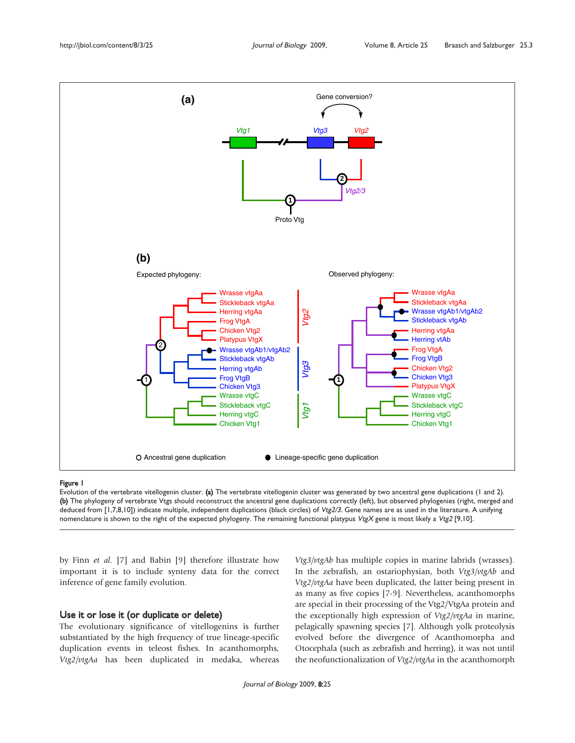

#### Figure 1

Evolution of the vertebrate vitellogenin cluster. (a) The vertebrate vitellogenin cluster was generated by two ancestral gene duplications (1 and 2). (b) The phylogeny of vertebrate Vtgs should reconstruct the ancestral gene duplications correctly (left), but observed phylogenies (right, merged and deduced from [1,7,8,10]) indicate multiple, independent duplications (black circles) of Vtg2/3. Gene names are as used in the literature. A unifying nomenclature is shown to the right of the expected phylogeny. The remaining functional platypus VtgX gene is most likely a Vtg2 [9,10].

by Finn et al. [7] and Babin [9] therefore illustrate how important it is to include synteny data for the correct inference of gene family evolution.

### Use it or lose it (or duplicate or delete)

The evolutionary significance of vitellogenins is further substantiated by the high frequency of true lineage-specific duplication events in teleost fishes. In acanthomorphs, Vtg2/vtgAa has been duplicated in medaka, whereas Vtg3/vtgAb has multiple copies in marine labrids (wrasses). In the zebrafish, an ostariophysian, both Vtg3/vtgAb and Vtg2/vtgAa have been duplicated, the latter being present in as many as five copies [7-9]. Nevertheless, acanthomorphs are special in their processing of the Vtg2/VtgAa protein and the exceptionally high expression of Vtg2/vtgAa in marine, pelagically spawning species [7]. Although yolk proteolysis evolved before the divergence of Acanthomorpha and Otocephala (such as zebrafish and herring), it was not until the neofunctionalization of Vtg2/vtgAa in the acanthomorph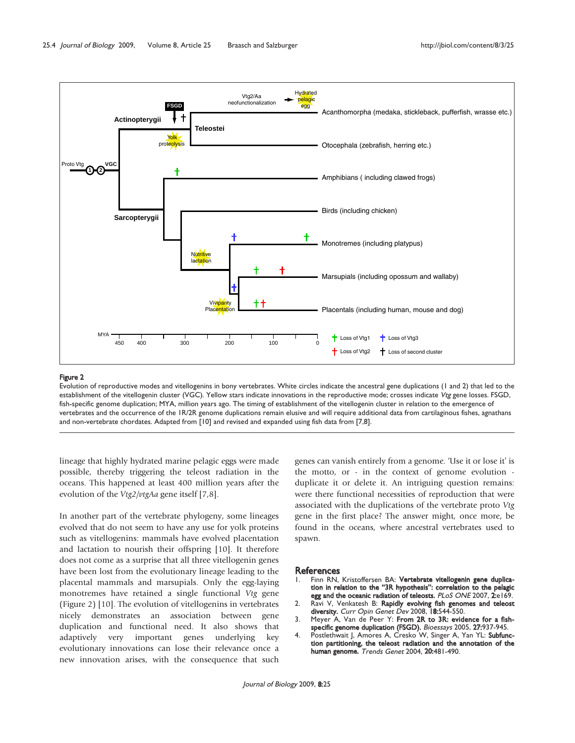

#### Figure 2

Evolution of reproductive modes and vitellogenins in bony vertebrates. White circles indicate the ancestral gene duplications (1 and 2) that led to the establishment of the vitellogenin cluster (VGC). Yellow stars indicate innovations in the reproductive mode; crosses indicate Vtg gene losses. FSGD, fish-specific genome duplication; MYA, million years ago. The timing of establishment of the vitellogenin cluster in relation to the emergence of vertebrates and the occurrence of the 1R/2R genome duplications remain elusive and will require additional data from cartilaginous fishes, agnathans and non-vertebrate chordates. Adapted from [10] and revised and expanded using fish data from [7,8].

lineage that highly hydrated marine pelagic eggs were made possible, thereby triggering the teleost radiation in the oceans. This happened at least 400 million years after the evolution of the Vtg2/vtgAa gene itself [7,8].

In another part of the vertebrate phylogeny, some lineages evolved that do not seem to have any use for yolk proteins such as vitellogenins: mammals have evolved placentation and lactation to nourish their offspring [10]. It therefore does not come as a surprise that all three vitellogenin genes have been lost from the evolutionary lineage leading to the placental mammals and marsupials. Only the egg-laying monotremes have retained a single functional Vtg gene (Figure 2) [10]. The evolution of vitellogenins in vertebrates nicely demonstrates an association between gene duplication and functional need. It also shows that adaptively very important genes underlying key evolutionary innovations can lose their relevance once a new innovation arises, with the consequence that such

genes can vanish entirely from a genome. 'Use it or lose it' is the motto, or - in the context of genome evolution duplicate it or delete it. An intriguing question remains: were there functional necessities of reproduction that were associated with the duplications of the vertebrate proto Vtg gene in the first place? The answer might, once more, be found in the oceans, where ancestral vertebrates used to spawn.

#### **References**

- Finn RN, Kristoffersen BA: Vertebrate vitellogenin gene duplication in relation to the "3R hypothesis": correlation to the pelagic egg and the oceanic radiation of teleosts. PLoS ONE 2007, 2:e169.
- 2. Ravi V, Venkatesh B: Rapidly evolving fish genomes and teleost diversity. Curr Opin Genet Dev 2008, 18:544-550.
- 3. Meyer A, Van de Peer Y: From 2R to 3R: evidence for a fishspecific genome duplication (FSGD). Bioessays 2005, 27:937-945.
- 4. Postlethwait J, Amores A, Cresko W, Singer A, Yan YL: Subfunction partitioning, the teleost radiation and the annotation of the human genome. Trends Genet 2004, 20:481-490.